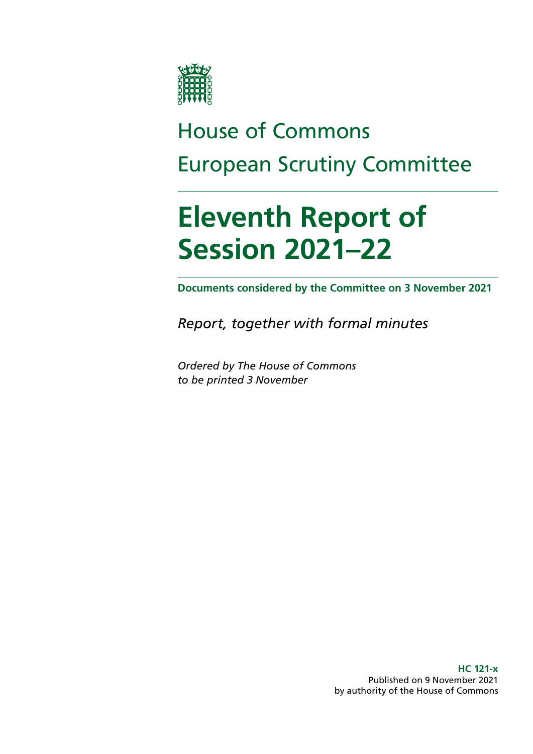

# House of Commons European Scrutiny Committee

# **Eleventh Report of Session 2021–22**

**Documents considered by the Committee on 3 November 2021**

*Report, together with formal minutes*

*Ordered by The House of Commons to be printed 3 November*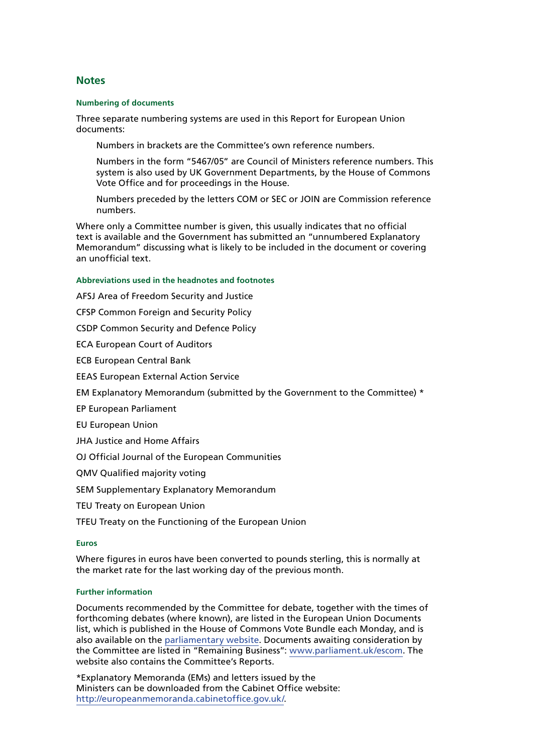#### **Notes**

#### **Numbering of documents**

Three separate numbering systems are used in this Report for European Union documents:

Numbers in brackets are the Committee's own reference numbers.

Numbers in the form "5467/05" are Council of Ministers reference numbers. This system is also used by UK Government Departments, by the House of Commons Vote Office and for proceedings in the House.

Numbers preceded by the letters COM or SEC or JOIN are Commission reference numbers.

Where only a Committee number is given, this usually indicates that no official text is available and the Government has submitted an "unnumbered Explanatory Memorandum" discussing what is likely to be included in the document or covering an unofficial text.

#### **Abbreviations used in the headnotes and footnotes**

AFSJ Area of Freedom Security and Justice

CFSP Common Foreign and Security Policy

CSDP Common Security and Defence Policy

ECA European Court of Auditors

ECB European Central Bank

EEAS European External Action Service

EM Explanatory Memorandum (submitted by the Government to the Committee) \*

EP European Parliament

EU European Union

JHA Justice and Home Affairs

OJ Official Journal of the European Communities

QMV Qualified majority voting

SEM Supplementary Explanatory Memorandum

TEU Treaty on European Union

TFEU Treaty on the Functioning of the European Union

#### **Euros**

Where figures in euros have been converted to pounds sterling, this is normally at the market rate for the last working day of the previous month.

#### **Further information**

Documents recommended by the Committee for debate, together with the times of forthcoming debates (where known), are listed in the European Union Documents list, which is published in the House of Commons Vote Bundle each Monday, and is also available on the [parliamentary website](https://www.parliament.uk/). Documents awaiting consideration by the Committee are listed in "Remaining Business": [www.parliament.uk/escom.](http://www.parliament.uk/escom) The website also contains the Committee's Reports.

\*Explanatory Memoranda (EMs) and letters issued by the Ministers can be downloaded from the Cabinet Office website: <http://europeanmemoranda.cabinetoffice.gov.uk/>.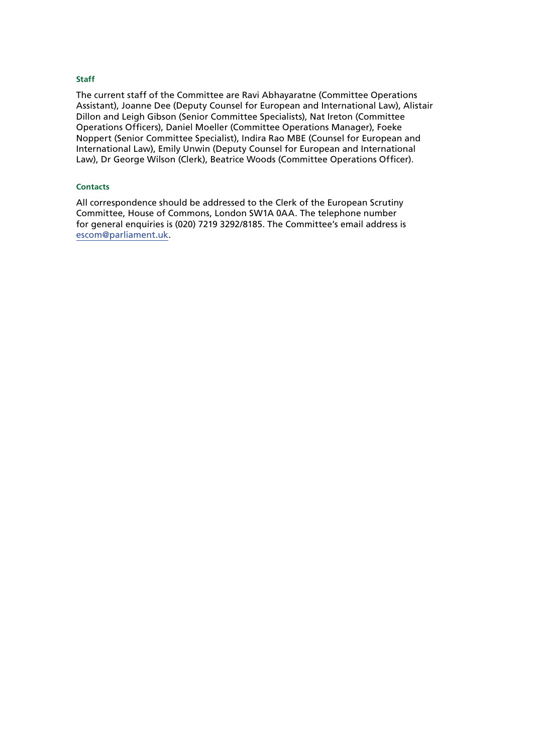#### **Staff**

The current staff of the Committee are Ravi Abhayaratne (Committee Operations Assistant), Joanne Dee (Deputy Counsel for European and International Law), Alistair Dillon and Leigh Gibson (Senior Committee Specialists), Nat Ireton (Committee Operations Officers), Daniel Moeller (Committee Operations Manager), Foeke Noppert (Senior Committee Specialist), Indira Rao MBE (Counsel for European and International Law), Emily Unwin (Deputy Counsel for European and International Law), Dr George Wilson (Clerk), Beatrice Woods (Committee Operations Officer).

#### **Contacts**

All correspondence should be addressed to the Clerk of the European Scrutiny Committee, House of Commons, London SW1A 0AA. The telephone number for general enquiries is (020) 7219 3292/8185. The Committee's email address is [escom@parliament.uk](mailto:escom%40parliament.uk?subject=).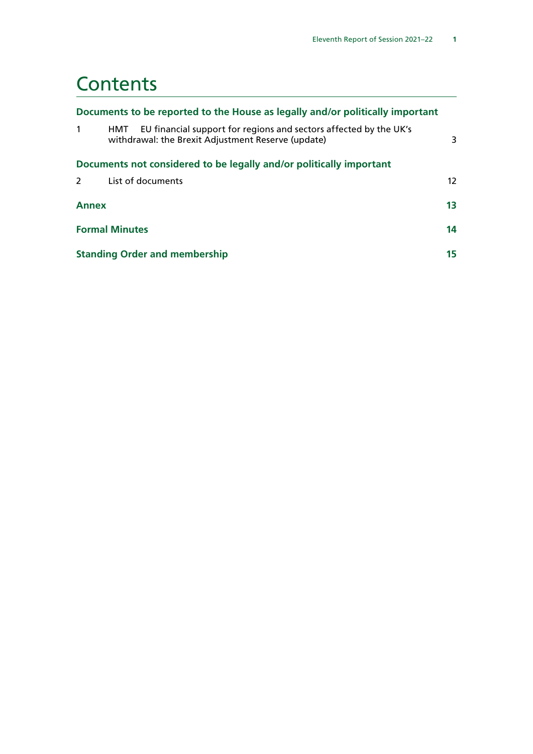# **Contents**

|  |  | Documents to be reported to the House as legally and/or politically important |
|--|--|-------------------------------------------------------------------------------|
|--|--|-------------------------------------------------------------------------------|

| $\mathbf{1}$          | EU financial support for regions and sectors affected by the UK's<br>нмт<br>withdrawal: the Brexit Adjustment Reserve (update) |                                                                     |    |  |
|-----------------------|--------------------------------------------------------------------------------------------------------------------------------|---------------------------------------------------------------------|----|--|
|                       |                                                                                                                                | Documents not considered to be legally and/or politically important |    |  |
| $\overline{2}$        |                                                                                                                                | List of documents                                                   | 12 |  |
| <b>Annex</b>          |                                                                                                                                |                                                                     | 13 |  |
| <b>Formal Minutes</b> |                                                                                                                                |                                                                     | 14 |  |
|                       |                                                                                                                                | <b>Standing Order and membership</b>                                | 15 |  |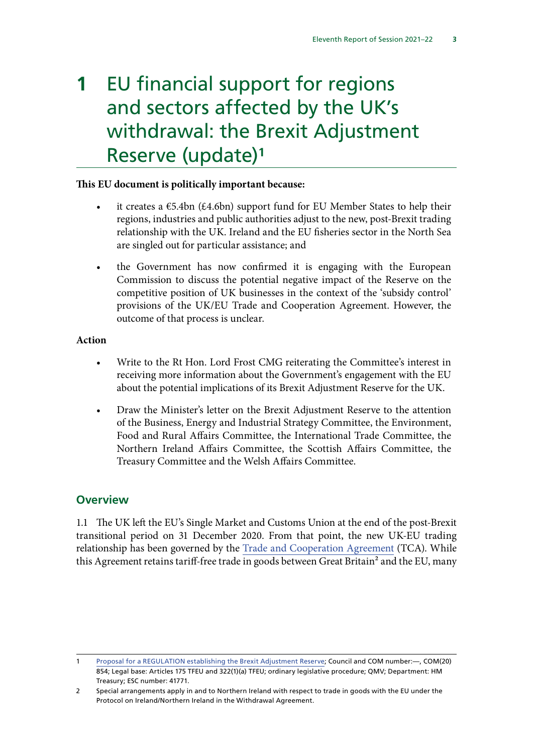# <span id="page-4-0"></span>**1** EU financial support for regions and sectors affected by the UK's withdrawal: the Brexit Adjustment Reserve (update)1

### **This EU document is politically important because:**

- it creates a  $\epsilon$ 5.4bn (£4.6bn) support fund for EU Member States to help their regions, industries and public authorities adjust to the new, post-Brexit trading relationship with the UK. Ireland and the EU fisheries sector in the North Sea are singled out for particular assistance; and
- the Government has now confirmed it is engaging with the European Commission to discuss the potential negative impact of the Reserve on the competitive position of UK businesses in the context of the 'subsidy control' provisions of the UK/EU Trade and Cooperation Agreement. However, the outcome of that process is unclear.

#### **Action**

- Write to the Rt Hon. Lord Frost CMG reiterating the Committee's interest in receiving more information about the Government's engagement with the EU about the potential implications of its Brexit Adjustment Reserve for the UK.
- Draw the Minister's letter on the Brexit Adjustment Reserve to the attention of the Business, Energy and Industrial Strategy Committee, the Environment, Food and Rural Affairs Committee, the International Trade Committee, the Northern Ireland Affairs Committee, the Scottish Affairs Committee, the Treasury Committee and the Welsh Affairs Committee.

### **Overview**

1.1 The UK left the EU's Single Market and Customs Union at the end of the post-Brexit transitional period on 31 December 2020. From that point, the new UK-EU trading relationship has been governed by the [Trade and Cooperation Agreement](https://eur-lex.europa.eu/legal-content/EN/TXT/?uri=uriserv%3AOJ.L_.2021.149.01.0010.01.ENG&toc=OJ%3AL%3A2021%3A149%3ATOC) (TCA). While this Agreement retains tariff-free trade in goods between Great Britain<sup>2</sup> and the EU, many

<sup>1</sup> [Proposal for a REGULATION establishing the Brexit Adjustment Reserve;](https://eur-lex.europa.eu/legal-content/EN/ALL/?uri=CELEX:52020PC0854) Council and COM number:—, COM(20) 854; Legal base: Articles 175 TFEU and 322(1)(a) TFEU; ordinary legislative procedure; QMV; Department: HM Treasury; ESC number: 41771.

<sup>2</sup> Special arrangements apply in and to Northern Ireland with respect to trade in goods with the EU under the Protocol on Ireland/Northern Ireland in the Withdrawal Agreement.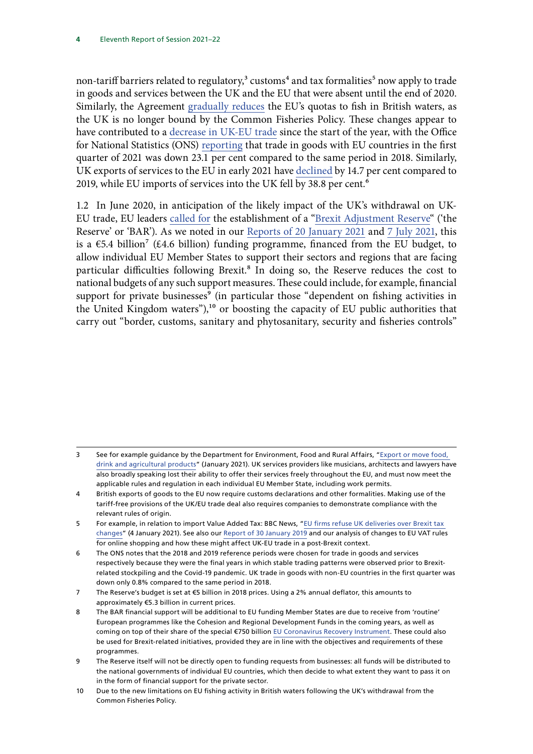non-tariff barriers related to regulatory,<sup>3</sup> customs<sup>4</sup> and tax formalities<sup>5</sup> now apply to trade in goods and services between the UK and the EU that were absent until the end of 2020. Similarly, the Agreement [gradually reduces](https://commonslibrary.parliament.uk/research-briefings/cbp-9174/) the EU's quotas to fish in British waters, as the UK is no longer bound by the Common Fisheries Policy. These changes appear to have contributed to a [decrease in UK-EU trade](https://www.ons.gov.uk/businessindustryandtrade/internationaltrade/articles/theimpactsofeuexitandthecoronavirusonuktradeingoods/2021-05-25) since the start of the year, with the Office for National Statistics (ONS) [reporting](https://www.ons.gov.uk/businessindustryandtrade/internationaltrade/articles/theimpactsofeuexitandthecoronavirusonuktradeingoods/2021-05-25) that trade in goods with EU countries in the first quarter of 2021 was down 23.1 per cent compared to the same period in 2018. Similarly, UK exports of services to the EU in early 2021 have [declined](https://www.ons.gov.uk/economy/nationalaccounts/balanceofpayments/articles/theimpactsofeuexitandcoronaviruscovid19onuktradeinservices/july2021) by 14.7 per cent compared to 2019, while EU imports of services into the UK fell by 38.8 per cent.<sup>6</sup>

1.2 In June 2020, in anticipation of the likely impact of the UK's withdrawal on UK-EU trade, EU leaders [called for](https://www.consilium.europa.eu/media/45109/210720-euco-final-conclusions-en.pdf) the establishment of a ["Brexit Adjustment Reserve](https://ec.europa.eu/regional_policy/en/funding/brexit-adjustment-reserve/)" ('the Reserve' or 'BAR'). As we noted in our [Reports of 20 January 2021](https://publications.parliament.uk/pa/cm5801/cmselect/cmeuleg/229-xxx/22906.htm) and [7 July 2021](https://publications.parliament.uk/pa/cm5802/cmselect/cmeuleg/121-v/12107.htm), this is a  $\epsilon$ 5.4 billion<sup>7</sup> (£4.6 billion) funding programme, financed from the EU budget, to allow individual EU Member States to support their sectors and regions that are facing particular difficulties following Brexit.8 In doing so, the Reserve reduces the cost to national budgets of any such support measures. These could include, for example, financial support for private businesses<sup>9</sup> (in particular those "dependent on fishing activities in the United Kingdom waters"), $10$  or boosting the capacity of EU public authorities that carry out "border, customs, sanitary and phytosanitary, security and fisheries controls"

<sup>3</sup> See for example guidance by the Department for Environment, Food and Rural Affairs, "Export or [move food,](https://www.gov.uk/guidance/export-food-and-agricultural-products-special-rules)  [drink and agricultural products](https://www.gov.uk/guidance/export-food-and-agricultural-products-special-rules)" (January 2021). UK services providers like musicians, architects and lawyers have also broadly speaking lost their ability to offer their services freely throughout the EU, and must now meet the applicable rules and regulation in each individual EU Member State, including work permits.

<sup>4</sup> British exports of goods to the EU now require customs declarations and other formalities. Making use of the tariff-free provisions of the UK/EU trade deal also requires companies to demonstrate compliance with the relevant rules of origin.

<sup>5</sup> For example, in relation to import Value Added Tax: BBC News, ["EU firms refuse UK deliveries over Brexit tax](https://www.bbc.co.uk/news/business-55530721)  [changes"](https://www.bbc.co.uk/news/business-55530721) (4 January 2021). See also our Report [of 30 January 2019](https://publications.parliament.uk/pa/cm201719/cmselect/cmeuleg/301-lii/30110.htm) and our analysis of changes to EU VAT rules for online shopping and how these might affect UK-EU trade in a post-Brexit context.

<sup>6</sup> The ONS notes that the 2018 and 2019 reference periods were chosen for trade in goods and services respectively because they were the final years in which stable trading patterns were observed prior to Brexitrelated stockpiling and the Covid-19 pandemic. UK trade in goods with non-EU countries in the first quarter was down only 0.8% compared to the same period in 2018.

<sup>7</sup> The Reserve's budget is set at €5 billion in 2018 prices. Using a 2% annual deflator, this amounts to approximately €5.3 billion in current prices.

<sup>8</sup> The BAR financial support will be additional to EU funding Member States are due to receive from 'routine' European programmes like the Cohesion and Regional Development Funds in the coming years, as well as coming on top of their share of the special €750 billion [EU Coronavirus Recovery Instrument.](https://publications.parliament.uk/pa/cm5801/cmselect/cmeuleg/229-xiv/22908.htm) These could also be used for Brexit-related initiatives, provided they are in line with the objectives and requirements of these programmes.

<sup>9</sup> The Reserve itself will not be directly open to funding requests from businesses: all funds will be distributed to the national governments of individual EU countries, which then decide to what extent they want to pass it on in the form of financial support for the private sector.

<sup>10</sup> Due to the new limitations on EU fishing activity in British waters following the UK's withdrawal from the Common Fisheries Policy.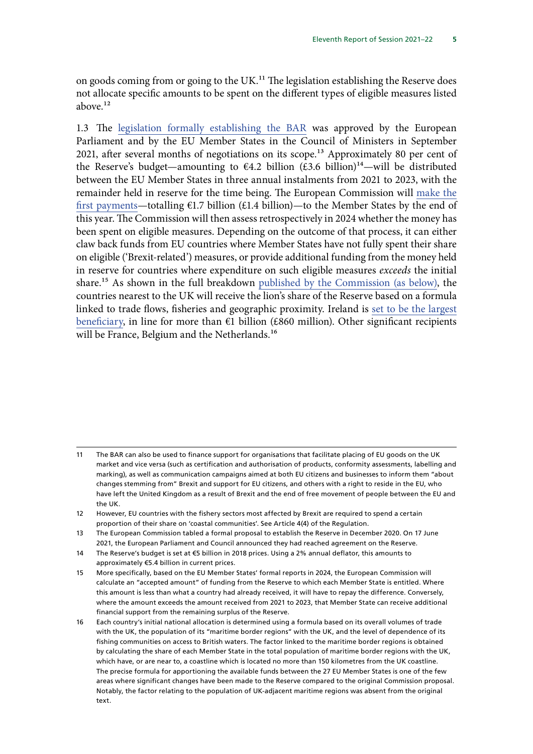on goods coming from or going to the UK.<sup>11</sup> The legislation establishing the Reserve does not allocate specific amounts to be spent on the different types of eligible measures listed above $12$ 

1.3 The [legislation formally establishing the BAR](https://eur-lex.europa.eu/legal-content/EN/TXT/?uri=CELEX%3A32021R1755) was approved by the European Parliament and by the EU Member States in the Council of Ministers in September 2021, after several months of negotiations on its scope.<sup>13</sup> Approximately 80 per cent of the Reserve's budget—amounting to  $\epsilon$ 4.2 billion (£3.6 billion)<sup>14</sup>—will be distributed between the EU Member States in three annual instalments from 2021 to 2023, with the remainder held in reserve for the time being. The European Commission will [make the](https://ec.europa.eu/regional_policy/en/funding/brexit-adjustment-reserve/) [first payments—](https://ec.europa.eu/regional_policy/en/funding/brexit-adjustment-reserve/)totalling  $E1.7$  billion ( $E1.4$  billion)—to the Member States by the end of this year. The Commission will then assess retrospectively in 2024 whether the money has been spent on eligible measures. Depending on the outcome of that process, it can either claw back funds from EU countries where Member States have not fully spent their share on eligible ('Brexit-related') measures, or provide additional funding from the money held in reserve for countries where expenditure on such eligible measures *exceeds* the initial share.15 As shown in the full breakdown [published by the Commission](https://eur-lex.europa.eu/legal-content/EN/TXT/PDF/?uri=CELEX:32021D1803&from=EN) (as below), the countries nearest to the UK will receive the lion's share of the Reserve based on a formula linked to trade flows, fisheries and geographic proximity. Ireland is [set to be the largest](https://eur-lex.europa.eu/legal-content/EN/TXT/?uri=CELEX%3A32021D1803) [beneficiary](https://eur-lex.europa.eu/legal-content/EN/TXT/?uri=CELEX%3A32021D1803), in line for more than €1 billion (£860 million). Other significant recipients will be France, Belgium and the Netherlands.<sup>16</sup>

<sup>11</sup> The BAR can also be used to finance support for organisations that facilitate placing of EU goods on the UK market and vice versa (such as certification and authorisation of products, conformity assessments, labelling and marking), as well as communication campaigns aimed at both EU citizens and businesses to inform them "about changes stemming from" Brexit and support for EU citizens, and others with a right to reside in the EU, who have left the United Kingdom as a result of Brexit and the end of free movement of people between the EU and the UK.

<sup>12</sup> However, EU countries with the fishery sectors most affected by Brexit are required to spend a certain proportion of their share on 'coastal communities'. See Article 4(4) of the Regulation.

<sup>13</sup> The European Commission tabled a formal proposal to establish the Reserve in December 2020. On 17 June 2021, the European Parliament and Council announced they had reached agreement on the Reserve.

<sup>14</sup> The Reserve's budget is set at €5 billion in 2018 prices. Using a 2% annual deflator, this amounts to approximately €5.4 billion in current prices.

<sup>15</sup> More specifically, based on the EU Member States' formal reports in 2024, the European Commission will calculate an "accepted amount" of funding from the Reserve to which each Member State is entitled. Where this amount is less than what a country had already received, it will have to repay the difference. Conversely, where the amount exceeds the amount received from 2021 to 2023, that Member State can receive additional financial support from the remaining surplus of the Reserve.

<sup>16</sup> Each country's initial national allocation is determined using a formula based on its overall volumes of trade with the UK, the population of its "maritime border regions" with the UK, and the level of dependence of its fishing communities on access to British waters. The factor linked to the maritime border regions is obtained by calculating the share of each Member State in the total population of maritime border regions with the UK, which have, or are near to, a coastline which is located no more than 150 kilometres from the UK coastline. The precise formula for apportioning the available funds between the 27 EU Member States is one of the few areas where significant changes have been made to the Reserve compared to the original Commission proposal. Notably, the factor relating to the population of UK-adjacent maritime regions was absent from the original text.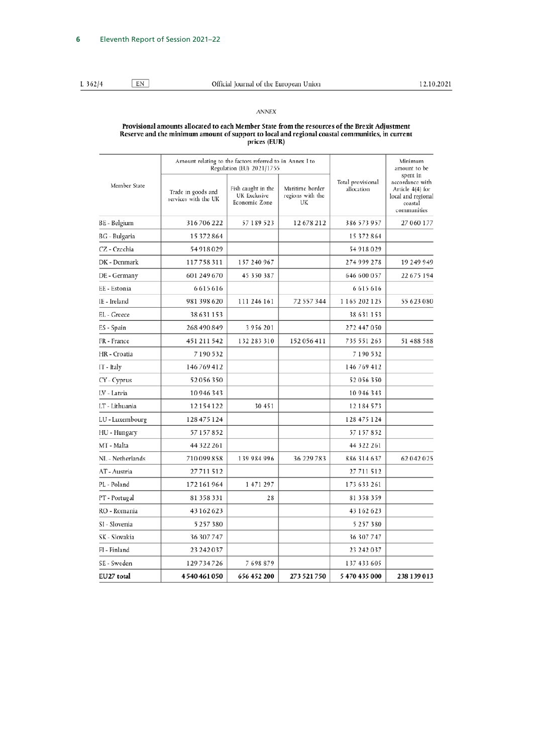$L$  362/4

#### $\boldsymbol{AN}\boldsymbol{N}\boldsymbol{E}\boldsymbol{X}$

# Provisional amounts allocated to each Member State from the resources of the Brexit Adjustment<br>Reserve and the minimum amount of support to local and regional coastal communities, in current<br>prices (EUR)

| Member State     | Amount relating to the factors referred to in Annex I to<br>Regulation (EU) 2021/1755 |                                                     |                                           |                                 | Minimum<br>amount to be                                                                         |
|------------------|---------------------------------------------------------------------------------------|-----------------------------------------------------|-------------------------------------------|---------------------------------|-------------------------------------------------------------------------------------------------|
|                  | Trade in goods and<br>services with the UK                                            | Fish caught in the<br>UK Exclusive<br>Economic Zone | Maritime border<br>regions with the<br>UK | Total provisional<br>allocation | spent in<br>accordance with<br>Article 4(4) for<br>local and regional<br>coastal<br>communities |
| BE - Belgium     | 316706222                                                                             | 57 189 523                                          | 12678212                                  | 386 573 957                     | 27 060 177                                                                                      |
| BG - Bulgaria    | 15372864                                                                              |                                                     |                                           | 15 372 864                      |                                                                                                 |
| CZ - Czechia     | 54918029                                                                              |                                                     |                                           | 54 918 029                      |                                                                                                 |
| DK - Denmark     | 117758311                                                                             | 157 240 967                                         |                                           | 274 999 278                     | 19 249 949                                                                                      |
| DE - Germany     | 601 249 670                                                                           | 45 350 387                                          |                                           | 646 600 057                     | 22 675 194                                                                                      |
| EE - Estonia     | 6615616                                                                               |                                                     |                                           | 6 6 15 6 16                     |                                                                                                 |
| IE - Ireland     | 981 398 620                                                                           | 111 246 161                                         | 72 557 344                                | 1 165 202 125                   | 55 623 080                                                                                      |
| EL - Greece      | 38631153                                                                              |                                                     |                                           | 38 631 153                      |                                                                                                 |
| ES - Spain       | 268 490 849                                                                           | 3956201                                             |                                           | 272 447 050                     |                                                                                                 |
| FR - France      | 451 211 542                                                                           | 132 283 310                                         | 152056411                                 | 735 551 263                     | 51 488 588                                                                                      |
| HR - Croatia     | 7190532                                                                               |                                                     |                                           | 7190532                         |                                                                                                 |
| IT - Italy       | 146769412                                                                             |                                                     |                                           | 146 769 412                     |                                                                                                 |
| CY - Cyprus      | 52056350                                                                              |                                                     |                                           | 52 056 350                      |                                                                                                 |
| LV - Latvia      | 10946343                                                                              |                                                     |                                           | 10 946 343                      |                                                                                                 |
| LT - Lithuania   | 12154122                                                                              | 30 451                                              |                                           | 12 184 573                      |                                                                                                 |
| LU - Luxembourg  | 128 475 124                                                                           |                                                     |                                           | 128 475 124                     |                                                                                                 |
| HU - Hungary     | 57157852                                                                              |                                                     |                                           | 57 157 852                      |                                                                                                 |
| MT - Malta       | 44322261                                                                              |                                                     |                                           | 44 322 261                      |                                                                                                 |
| NL - Netherlands | 710099858                                                                             | 139 984 996                                         | 36 229 783                                | 886 314 637                     | 62 042 025                                                                                      |
| AT - Austria     | 27711512                                                                              |                                                     |                                           | 27 711 512                      |                                                                                                 |
| PL - Poland      | 172161964                                                                             | 1 471 297                                           |                                           | 173 633 261                     |                                                                                                 |
| PT - Portugal    | 81358331                                                                              | 28                                                  |                                           | 81 358 359                      |                                                                                                 |
| RO - Romania     | 43162623                                                                              |                                                     |                                           | 43 162 623                      |                                                                                                 |
| SI - Slovenia    | 5257380                                                                               |                                                     |                                           | 5 2 5 7 3 8 0                   |                                                                                                 |
| SK - Slovakia    | 36 307 747                                                                            |                                                     |                                           | 36 307 747                      |                                                                                                 |
| FI - Finland     | 23 24 2 0 3 7                                                                         |                                                     |                                           | 23 242 037                      |                                                                                                 |
| SE - Sweden      | 129734726                                                                             | 7698879                                             |                                           | 137 433 605                     |                                                                                                 |
| EU27 total       | 4540461050                                                                            | 656 452 200                                         | 273 521 750                               | 5470435000                      | 238 139 013                                                                                     |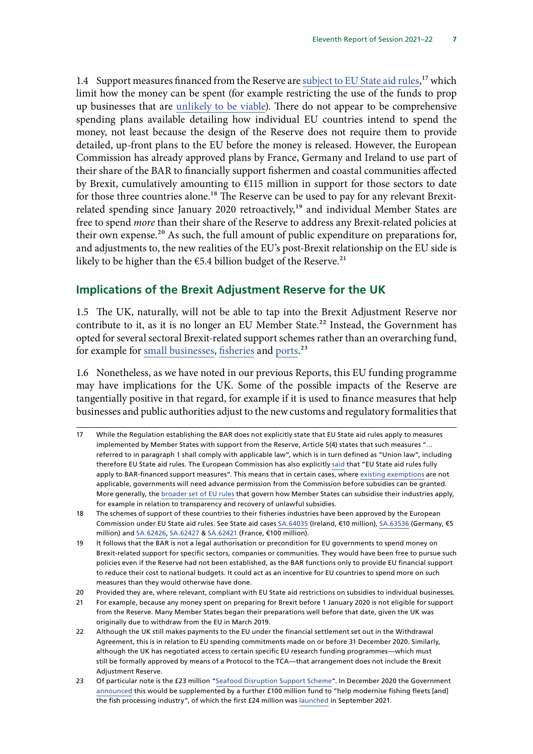1.4 Support measures financed from the Reserve are [subject to EU State aid rules](https://ec.europa.eu/commission/presscorner/detail/en/ip_21_1921),<sup>17</sup> which limit how the money can be spent (for example restricting the use of the funds to prop up businesses that are [unlikely to be viable](https://ec.europa.eu/competition-policy/state-aid/legislation/modernisation/rescue-and-restructuring_en)). There do not appear to be comprehensive spending plans available detailing how individual EU countries intend to spend the money, not least because the design of the Reserve does not require them to provide detailed, up-front plans to the EU before the money is released. However, the European Commission has already approved plans by France, Germany and Ireland to use part of their share of the BAR to financially support fishermen and coastal communities affected by Brexit, cumulatively amounting to €115 million in support for those sectors to date for those three countries alone.<sup>18</sup> The Reserve can be used to pay for any relevant Brexitrelated spending since January 2020 retroactively,<sup>19</sup> and individual Member States are free to spend *more* than their share of the Reserve to address any Brexit-related policies at their own expense.20 As such, the full amount of public expenditure on preparations for, and adjustments to, the new realities of the EU's post-Brexit relationship on the EU side is likely to be higher than the  $\epsilon$ 5.4 billion budget of the Reserve.<sup>21</sup>

### **Implications of the Brexit Adjustment Reserve for the UK**

1.5 The UK, naturally, will not be able to tap into the Brexit Adjustment Reserve nor contribute to it, as it is no longer an EU Member State.<sup>22</sup> Instead, the Government has opted for several sectoral Brexit-related support schemes rather than an overarching fund, for example for [small businesses](https://www.gov.uk/government/news/20-million-sme-brexit-support-fund-opens-for-applications), [fisheries](https://www.gov.uk/guidance/seafood-disruption-support-scheme) and [ports](https://www.gov.uk/government/news/200-million-port-infrastructure-fund-opens-for-bids).<sup>23</sup>

1.6 Nonetheless, as we have noted in our previous Reports, this EU funding programme may have implications for the UK. Some of the possible impacts of the Reserve are tangentially positive in that regard, for example if it is used to finance measures that help businesses and public authorities adjust to the new customs and regulatory formalities that

- 17 While the Regulation establishing the BAR does not explicitly state that EU State aid rules apply to measures implemented by Member States with support from the Reserve, Article 5(4) states that such measures "… referred to in paragraph 1 shall comply with applicable law", which is in turn defined as "Union law", including therefore EU State aid rules. The European Commission has also explicitly [said](https://ec.europa.eu/commission/presscorner/detail/en/ip_21_1921) that "EU State aid rules fully apply to BAR-financed support measures". This means that in certain cases, where [existing exemptions](https://ec.europa.eu/competition/state_aid/legislation/block.html) are not applicable, governments will need advance permission from the Commission before subsidies can be granted. More generally, the [broader set of EU rules](https://ec.europa.eu/competition-policy/state-aid/legislation_en) that govern how Member States can subsidise their industries apply, for example in relation to transparency and recovery of unlawful subsidies.
- 18 The schemes of support of these countries to their fisheries industries have been approved by the European Commission under EU State aid rules. See State aid cases [SA.64035](https://ec.europa.eu/commission/presscorner/detail/en/MEX_21_4563) (Ireland, €10 million), [SA.63536](https://ec.europa.eu/competition/elojade/isef/case_details.cfm?proc_code=3_SA_63536) (Germany, €5 million) and [SA.62426,](https://ec.europa.eu/competition/elojade/isef/case_details.cfm?proc_code=3_SA_62426) [SA.62427](https://ec.europa.eu/competition/elojade/isef/case_details.cfm?proc_code=3_SA_62427) & [SA.62421](https://ec.europa.eu/competition/elojade/isef/case_details.cfm?proc_code=3_SA_62421) (France, €100 million).
- 19 It follows that the BAR is not a legal authorisation or precondition for EU governments to spend money on Brexit-related support for specific sectors, companies or communities. They would have been free to pursue such policies even if the Reserve had not been established, as the BAR functions only to provide EU financial support to reduce their cost to national budgets. It could act as an incentive for EU countries to spend more on such measures than they would otherwise have done.
- 20 Provided they are, where relevant, compliant with EU State aid restrictions on subsidies to individual businesses.
- 21 For example, because any money spent on preparing for Brexit before 1 January 2020 is not eligible for support from the Reserve. Many Member States began their preparations well before that date, given the UK was originally due to withdraw from the EU in March 2019.
- 22 Although the UK still makes payments to the EU under the financial settlement set out in the Withdrawal Agreement, this is in relation to EU spending commitments made on or before 31 December 2020. Similarly, although the UK has negotiated access to certain specific EU research funding programmes—which must still be formally approved by means of a Protocol to the TCA—that arrangement does not include the Brexit Adjustment Reserve.
- 23 Of particular note is the £23 million ["Seafood Disruption Support Scheme"](https://www.gov.uk/guidance/seafood-disruption-support-scheme). In December 2020 the Government [announced](https://www.gov.uk/government/speeches/prime-ministers-statement-on-eu-negotiations-24-december-2020) this would be supplemented by a further £100 million fund to "help modernise fishing fleets [and] the fish processing industry", of which the first £24 million was [launched](https://deframedia.blog.gov.uk/2021/09/13/24-million-for-fisheries-science-projects/) in September 2021.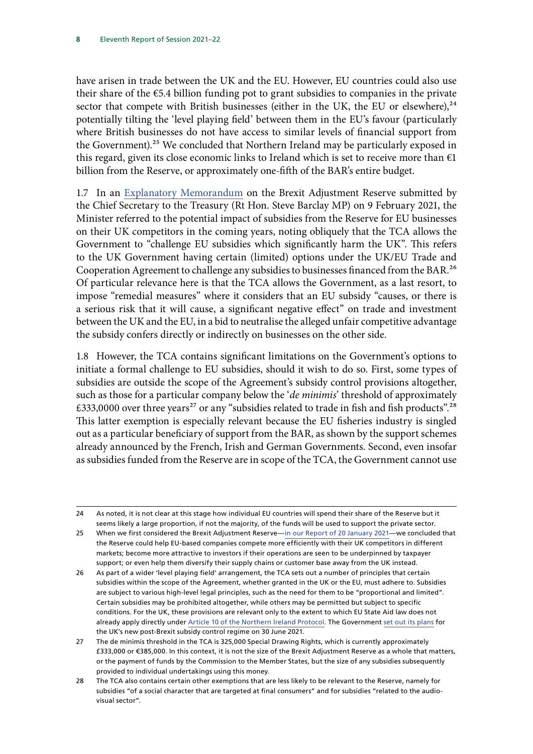have arisen in trade between the UK and the EU. However, EU countries could also use their share of the  $\epsilon$ 5.4 billion funding pot to grant subsidies to companies in the private sector that compete with British businesses (either in the UK, the EU or elsewhere), $^{24}$ potentially tilting the 'level playing field' between them in the EU's favour (particularly where British businesses do not have access to similar levels of financial support from the Government).<sup>25</sup> We concluded that Northern Ireland may be particularly exposed in this regard, given its close economic links to Ireland which is set to receive more than  $E1$ billion from the Reserve, or approximately one-fifth of the BAR's entire budget.

1.7 In an [Explanatory Memorandum](http://europeanmemoranda.cabinetoffice.gov.uk/files/2021/02/EM_-_Brexit_Adjustment_Reserve_(002)_(1).pdf) on the Brexit Adjustment Reserve submitted by the Chief Secretary to the Treasury (Rt Hon. Steve Barclay MP) on 9 February 2021, the Minister referred to the potential impact of subsidies from the Reserve for EU businesses on their UK competitors in the coming years, noting obliquely that the TCA allows the Government to "challenge EU subsidies which significantly harm the UK". This refers to the UK Government having certain (limited) options under the UK/EU Trade and Cooperation Agreement to challenge any subsidies to businesses financed from the BAR.26 Of particular relevance here is that the TCA allows the Government, as a last resort, to impose "remedial measures" where it considers that an EU subsidy "causes, or there is a serious risk that it will cause, a significant negative effect" on trade and investment between the UK and the EU, in a bid to neutralise the alleged unfair competitive advantage the subsidy confers directly or indirectly on businesses on the other side.

1.8 However, the TCA contains significant limitations on the Government's options to initiate a formal challenge to EU subsidies, should it wish to do so. First, some types of subsidies are outside the scope of the Agreement's subsidy control provisions altogether, such as those for a particular company below the '*de minimis*' threshold of approximately £333,0000 over three years<sup>27</sup> or any "subsidies related to trade in fish and fish products".<sup>28</sup> This latter exemption is especially relevant because the EU fisheries industry is singled out as a particular beneficiary of support from the BAR, as shown by the support schemes already announced by the French, Irish and German Governments. Second, even insofar as subsidies funded from the Reserve are in scope of the TCA, the Government cannot use

<sup>24</sup> As noted, it is not clear at this stage how individual EU countries will spend their share of the Reserve but it seems likely a large proportion, if not the majority, of the funds will be used to support the private sector.

<sup>25</sup> When we first considered the Brexit Adjustment Reserve—[in our Report of 20 January 2021—](https://publications.parliament.uk/pa/cm5801/cmselect/cmeuleg/229-xxx/22906.htm)we concluded that the Reserve could help EU-based companies compete more efficiently with their UK competitors in different markets; become more attractive to investors if their operations are seen to be underpinned by taxpayer support; or even help them diversify their supply chains or customer base away from the UK instead.

<sup>26</sup> As part of a wider 'level playing field' arrangement, the TCA sets out a number of principles that certain subsidies within the scope of the Agreement, whether granted in the UK or the EU, must adhere to. Subsidies are subject to various high-level legal principles, such as the need for them to be "proportional and limited". Certain subsidies may be prohibited altogether, while others may be permitted but subject to specific conditions. For the UK, these provisions are relevant only to the extent to which EU State Aid law does not already apply directly under Article 10 of the Northern Ireland Protocol. The Government [set out its plans](https://www.gov.uk/government/news/new-subsidy-system-to-support-uk-jobs-and-businesses-boost-the-economy-and-strengthen-the-union) for the UK's new post-Brexit subsidy control regime on 30 June 2021.

<sup>27</sup> The de minimis threshold in the TCA is 325,000 Special Drawing Rights, which is currently approximately £333,000 or €385,000. In this context, it is not the size of the Brexit Adjustment Reserve as a whole that matters, or the payment of funds by the Commission to the Member States, but the size of any subsidies subsequently provided to individual undertakings using this money.

<sup>28</sup> The TCA also contains certain other exemptions that are less likely to be relevant to the Reserve, namely for subsidies "of a social character that are targeted at final consumers" and for subsidies "related to the audiovisual sector".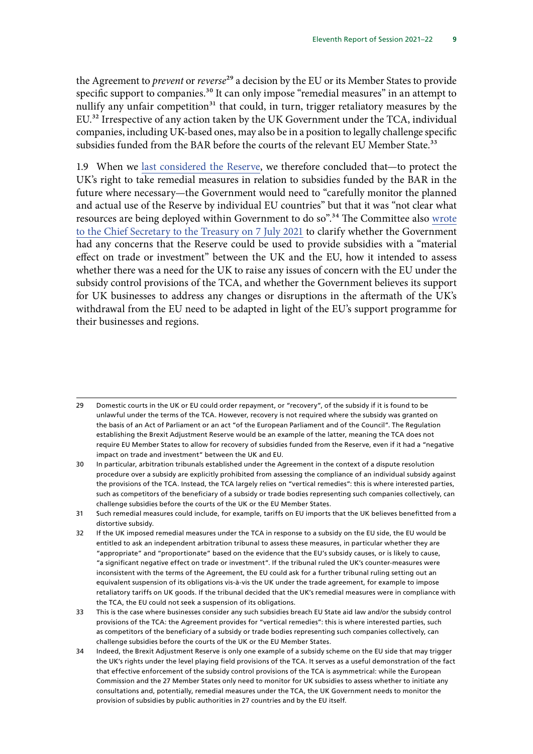the Agreement to *prevent* or *reverse*29 a decision by the EU or its Member States to provide specific support to companies.<sup>30</sup> It can only impose "remedial measures" in an attempt to nullify any unfair competition<sup>31</sup> that could, in turn, trigger retaliatory measures by the EU.32 Irrespective of any action taken by the UK Government under the TCA, individual companies, including UK-based ones, may also be in a position to legally challenge specific subsidies funded from the BAR before the courts of the relevant EU Member State.<sup>33</sup>

1.9 When we [last considered the Reserve,](https://publications.parliament.uk/pa/cm5802/cmselect/cmeuleg/121-v/12107.htm) we therefore concluded that—to protect the UK's right to take remedial measures in relation to subsidies funded by the BAR in the future where necessary—the Government would need to "carefully monitor the planned and actual use of the Reserve by individual EU countries" but that it was "not clear what resources are being deployed within Government to do so".<sup>34</sup> The Committee also [wrote](https://committees.parliament.uk/publications/6660/documents/71613/default/) [to the Chief Secretary to the Treasury on 7 July 2021](https://committees.parliament.uk/publications/6660/documents/71613/default/) to clarify whether the Government had any concerns that the Reserve could be used to provide subsidies with a "material effect on trade or investment" between the UK and the EU, how it intended to assess whether there was a need for the UK to raise any issues of concern with the EU under the subsidy control provisions of the TCA, and whether the Government believes its support for UK businesses to address any changes or disruptions in the aftermath of the UK's withdrawal from the EU need to be adapted in light of the EU's support programme for their businesses and regions.

<sup>29</sup> Domestic courts in the UK or EU could order repayment, or "recovery", of the subsidy if it is found to be unlawful under the terms of the TCA. However, recovery is not required where the subsidy was granted on the basis of an Act of Parliament or an act "of the European Parliament and of the Council". The Regulation establishing the Brexit Adjustment Reserve would be an example of the latter, meaning the TCA does not require EU Member States to allow for recovery of subsidies funded from the Reserve, even if it had a "negative impact on trade and investment" between the UK and EU.

<sup>30</sup> In particular, arbitration tribunals established under the Agreement in the context of a dispute resolution procedure over a subsidy are explicitly prohibited from assessing the compliance of an individual subsidy against the provisions of the TCA. Instead, the TCA largely relies on "vertical remedies": this is where interested parties, such as competitors of the beneficiary of a subsidy or trade bodies representing such companies collectively, can challenge subsidies before the courts of the UK or the EU Member States.

<sup>31</sup> Such remedial measures could include, for example, tariffs on EU imports that the UK believes benefitted from a distortive subsidy.

<sup>32</sup> If the UK imposed remedial measures under the TCA in response to a subsidy on the EU side, the EU would be entitled to ask an independent arbitration tribunal to assess these measures, in particular whether they are "appropriate" and "proportionate" based on the evidence that the EU's subsidy causes, or is likely to cause, "a significant negative effect on trade or investment". If the tribunal ruled the UK's counter-measures were inconsistent with the terms of the Agreement, the EU could ask for a further tribunal ruling setting out an equivalent suspension of its obligations vis-à-vis the UK under the trade agreement, for example to impose retaliatory tariffs on UK goods. If the tribunal decided that the UK's remedial measures were in compliance with the TCA, the EU could not seek a suspension of its obligations.

<sup>33</sup> This is the case where businesses consider any such subsidies breach EU State aid law and/or the subsidy control provisions of the TCA: the Agreement provides for "vertical remedies": this is where interested parties, such as competitors of the beneficiary of a subsidy or trade bodies representing such companies collectively, can challenge subsidies before the courts of the UK or the EU Member States.

<sup>34</sup> Indeed, the Brexit Adjustment Reserve is only one example of a subsidy scheme on the EU side that may trigger the UK's rights under the level playing field provisions of the TCA. It serves as a useful demonstration of the fact that effective enforcement of the subsidy control provisions of the TCA is asymmetrical: while the European Commission and the 27 Member States only need to monitor for UK subsidies to assess whether to initiate any consultations and, potentially, remedial measures under the TCA, the UK Government needs to monitor the provision of subsidies by public authorities in 27 countries and by the EU itself.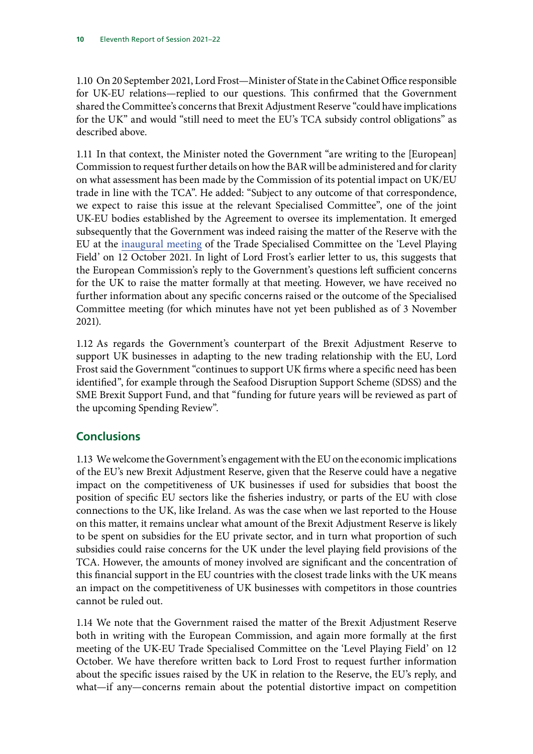1.10 On 20 September 2021, Lord Frost—Minister of State in the Cabinet Office responsible for UK-EU relations—replied to our questions. This confirmed that the Government shared the Committee's concerns that Brexit Adjustment Reserve "could have implications for the UK" and would "still need to meet the EU's TCA subsidy control obligations" as described above.

1.11 In that context, the Minister noted the Government "are writing to the [European] Commission to request further details on how the BAR will be administered and for clarity on what assessment has been made by the Commission of its potential impact on UK/EU trade in line with the TCA". He added: "Subject to any outcome of that correspondence, we expect to raise this issue at the relevant Specialised Committee", one of the joint UK-EU bodies established by the Agreement to oversee its implementation. It emerged subsequently that the Government was indeed raising the matter of the Reserve with the EU at the [inaugural meeting](https://ec.europa.eu/info/sites/default/files/agenda_of_the_first_meeting_of_the_tsc_on_lpfs.pdf) of the Trade Specialised Committee on the 'Level Playing Field' on 12 October 2021. In light of Lord Frost's earlier letter to us, this suggests that the European Commission's reply to the Government's questions left sufficient concerns for the UK to raise the matter formally at that meeting. However, we have received no further information about any specific concerns raised or the outcome of the Specialised Committee meeting (for which minutes have not yet been published as of 3 November 2021).

1.12 As regards the Government's counterpart of the Brexit Adjustment Reserve to support UK businesses in adapting to the new trading relationship with the EU, Lord Frost said the Government "continues to support UK firms where a specific need has been identified", for example through the Seafood Disruption Support Scheme (SDSS) and the SME Brexit Support Fund, and that "funding for future years will be reviewed as part of the upcoming Spending Review".

## **Conclusions**

1.13 We welcome the Government's engagement with the EU on the economic implications of the EU's new Brexit Adjustment Reserve, given that the Reserve could have a negative impact on the competitiveness of UK businesses if used for subsidies that boost the position of specific EU sectors like the fisheries industry, or parts of the EU with close connections to the UK, like Ireland. As was the case when we last reported to the House on this matter, it remains unclear what amount of the Brexit Adjustment Reserve is likely to be spent on subsidies for the EU private sector, and in turn what proportion of such subsidies could raise concerns for the UK under the level playing field provisions of the TCA. However, the amounts of money involved are significant and the concentration of this financial support in the EU countries with the closest trade links with the UK means an impact on the competitiveness of UK businesses with competitors in those countries cannot be ruled out.

1.14 We note that the Government raised the matter of the Brexit Adjustment Reserve both in writing with the European Commission, and again more formally at the first meeting of the UK-EU Trade Specialised Committee on the 'Level Playing Field' on 12 October. We have therefore written back to Lord Frost to request further information about the specific issues raised by the UK in relation to the Reserve, the EU's reply, and what—if any—concerns remain about the potential distortive impact on competition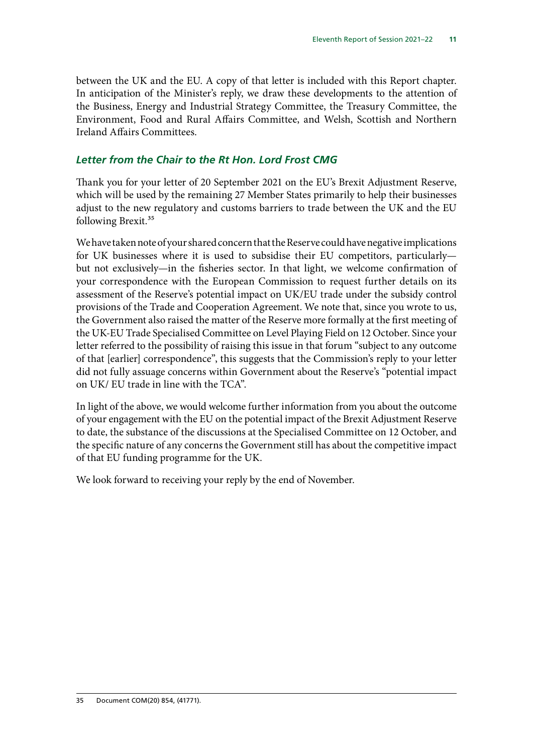between the UK and the EU. A copy of that letter is included with this Report chapter. In anticipation of the Minister's reply, we draw these developments to the attention of the Business, Energy and Industrial Strategy Committee, the Treasury Committee, the Environment, Food and Rural Affairs Committee, and Welsh, Scottish and Northern Ireland Affairs Committees.

### *Letter from the Chair to the Rt Hon. Lord Frost CMG*

Thank you for your letter of 20 September 2021 on the EU's Brexit Adjustment Reserve, which will be used by the remaining 27 Member States primarily to help their businesses adjust to the new regulatory and customs barriers to trade between the UK and the EU following Brexit.<sup>35</sup>

We have taken note of your shared concern that the Reserve could have negative implications for UK businesses where it is used to subsidise their EU competitors, particularly but not exclusively—in the fisheries sector. In that light, we welcome confirmation of your correspondence with the European Commission to request further details on its assessment of the Reserve's potential impact on UK/EU trade under the subsidy control provisions of the Trade and Cooperation Agreement. We note that, since you wrote to us, the Government also raised the matter of the Reserve more formally at the first meeting of the UK-EU Trade Specialised Committee on Level Playing Field on 12 October. Since your letter referred to the possibility of raising this issue in that forum "subject to any outcome of that [earlier] correspondence", this suggests that the Commission's reply to your letter did not fully assuage concerns within Government about the Reserve's "potential impact on UK/ EU trade in line with the TCA".

In light of the above, we would welcome further information from you about the outcome of your engagement with the EU on the potential impact of the Brexit Adjustment Reserve to date, the substance of the discussions at the Specialised Committee on 12 October, and the specific nature of any concerns the Government still has about the competitive impact of that EU funding programme for the UK.

We look forward to receiving your reply by the end of November.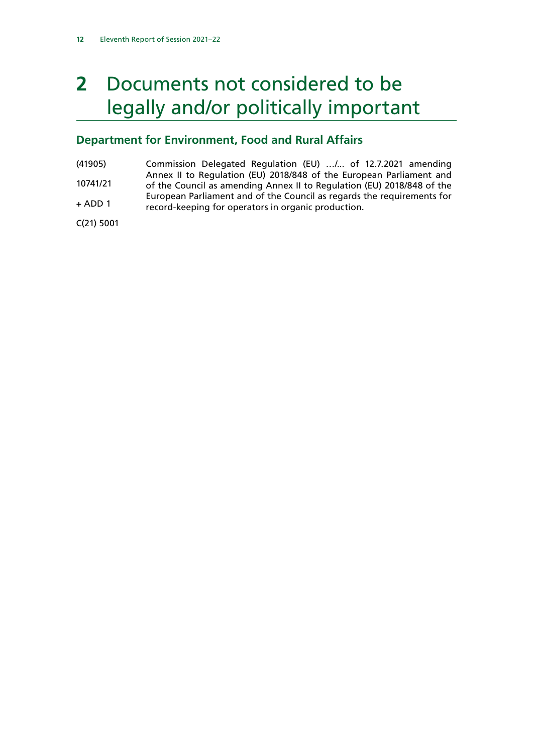# <span id="page-13-0"></span>**2** Documents not considered to be legally and/or politically important

# **Department for Environment, Food and Rural Affairs**

(41905) 10741/21  $+$  ADD 1 Commission Delegated Regulation (EU) …/... of 12.7.2021 amending Annex II to Regulation (EU) 2018/848 of the European Parliament and of the Council as amending Annex II to Regulation (EU) 2018/848 of the European Parliament and of the Council as regards the requirements for record-keeping for operators in organic production.

C(21) 5001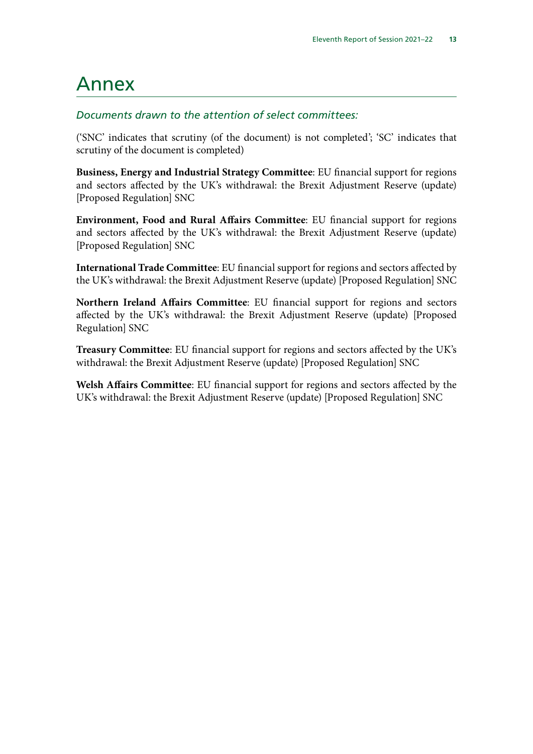# <span id="page-14-0"></span>Annex

### *Documents drawn to the attention of select committees:*

('SNC' indicates that scrutiny (of the document) is not completed'; 'SC' indicates that scrutiny of the document is completed)

**Business, Energy and Industrial Strategy Committee**: EU financial support for regions and sectors affected by the UK's withdrawal: the Brexit Adjustment Reserve (update) [Proposed Regulation] SNC

**Environment, Food and Rural Affairs Committee**: EU financial support for regions and sectors affected by the UK's withdrawal: the Brexit Adjustment Reserve (update) [Proposed Regulation] SNC

**International Trade Committee**: EU financial support for regions and sectors affected by the UK's withdrawal: the Brexit Adjustment Reserve (update) [Proposed Regulation] SNC

**Northern Ireland Affairs Committee**: EU financial support for regions and sectors affected by the UK's withdrawal: the Brexit Adjustment Reserve (update) [Proposed Regulation] SNC

**Treasury Committee**: EU financial support for regions and sectors affected by the UK's withdrawal: the Brexit Adjustment Reserve (update) [Proposed Regulation] SNC

**Welsh Affairs Committee**: EU financial support for regions and sectors affected by the UK's withdrawal: the Brexit Adjustment Reserve (update) [Proposed Regulation] SNC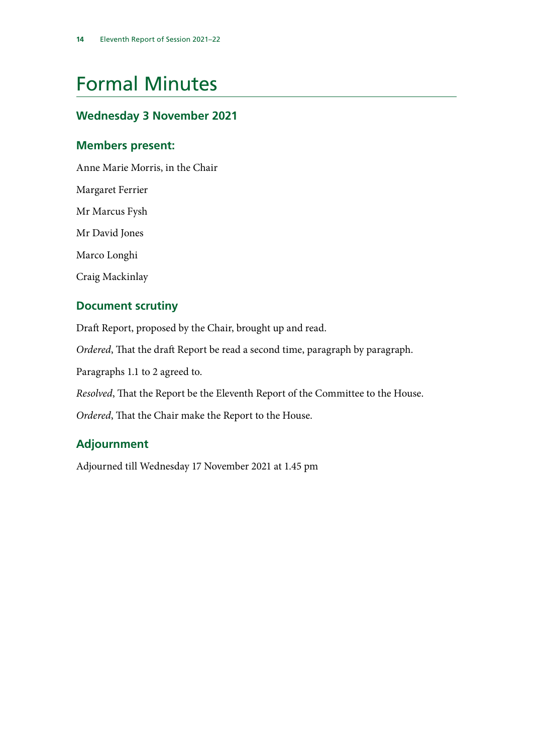# <span id="page-15-0"></span>Formal Minutes

# **Wednesday 3 November 2021**

## **Members present:**

Anne Marie Morris, in the Chair

Margaret Ferrier

Mr Marcus Fysh

Mr David Jones

Marco Longhi

Craig Mackinlay

### **Document scrutiny**

Draft Report, proposed by the Chair, brought up and read.

*Ordered*, That the draft Report be read a second time, paragraph by paragraph.

Paragraphs 1.1 to 2 agreed to.

*Resolved*, That the Report be the Eleventh Report of the Committee to the House.

*Ordered*, That the Chair make the Report to the House.

## **Adjournment**

Adjourned till Wednesday 17 November 2021 at 1.45 pm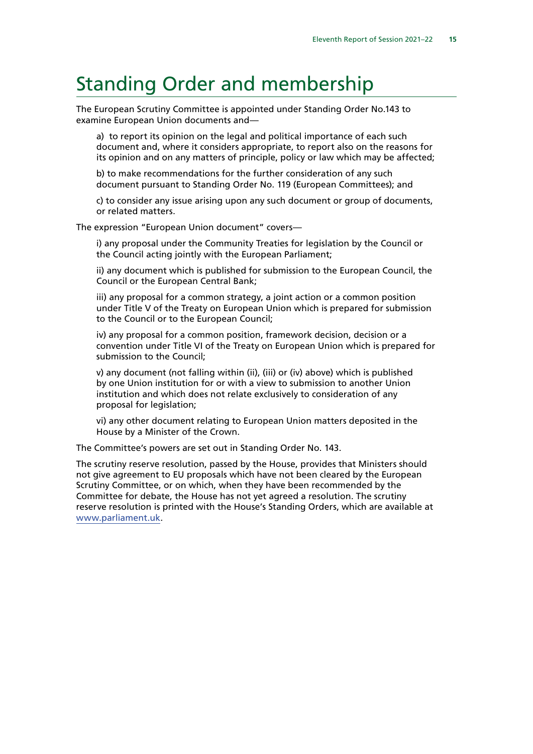# <span id="page-16-0"></span>Standing Order and membership

The European Scrutiny Committee is appointed under Standing Order No.143 to examine European Union documents and—

a) to report its opinion on the legal and political importance of each such document and, where it considers appropriate, to report also on the reasons for its opinion and on any matters of principle, policy or law which may be affected;

b) to make recommendations for the further consideration of any such document pursuant to Standing Order No. 119 (European Committees); and

c) to consider any issue arising upon any such document or group of documents, or related matters.

The expression "European Union document" covers—

i) any proposal under the Community Treaties for legislation by the Council or the Council acting jointly with the European Parliament;

ii) any document which is published for submission to the European Council, the Council or the European Central Bank;

iii) any proposal for a common strategy, a joint action or a common position under Title V of the Treaty on European Union which is prepared for submission to the Council or to the European Council;

iv) any proposal for a common position, framework decision, decision or a convention under Title VI of the Treaty on European Union which is prepared for submission to the Council;

v) any document (not falling within (ii), (iii) or (iv) above) which is published by one Union institution for or with a view to submission to another Union institution and which does not relate exclusively to consideration of any proposal for legislation;

vi) any other document relating to European Union matters deposited in the House by a Minister of the Crown.

The Committee's powers are set out in Standing Order No. 143.

The scrutiny reserve resolution, passed by the House, provides that Ministers should not give agreement to EU proposals which have not been cleared by the European Scrutiny Committee, or on which, when they have been recommended by the Committee for debate, the House has not yet agreed a resolution. The scrutiny reserve resolution is printed with the House's Standing Orders, which are available at [www.parliament.uk](https://www.parliament.uk/).